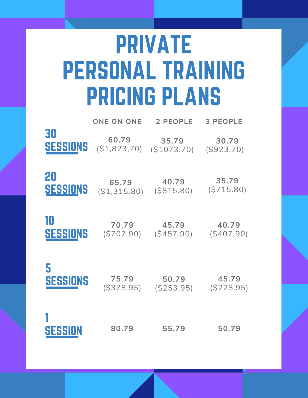# PRIVATE PERSONAL TRAINING PRICING PLANS

|                 | <b>ONE ON ONE</b> | 2 PEOPLE   | <b>3 PEOPLE</b> |
|-----------------|-------------------|------------|-----------------|
| 30              | 60.79             | 35.79      | 30.79           |
| SESSIONS        | (S1, 823, 70)     | (S1073.70) | (S923.70)       |
| 20              | 65.79             | 40.79      | 35.79           |
| <b>SESSIONS</b> | (S1, 315.80)      | (S815.80)  | (S715.80)       |
| 10              | 70.79             | 45.79      | 40.79           |
| <b>SESSIONS</b> | (S707.90)         | (S457.90)  | (S407.90)       |
| 5               | 75.79             | 50.79      | 45.79           |
| <b>SESSIONS</b> | (S378.95)         | (S253.95)  | (S228.95)       |
| <b>SESSION</b>  | 80.79             | 55.79      | 50.79           |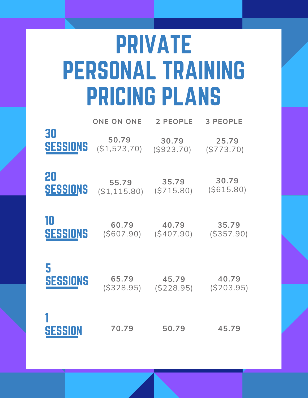# PRIVATE PERSONAL TRAINING PRICING PLANS

|                 | <b>ONE ON ONE</b> | 2 PEOPLE  | <b>3 PEOPLE</b> |
|-----------------|-------------------|-----------|-----------------|
| 30              | 50.79             | 30.79     | 25.79           |
| <b>SESSIONS</b> | (S1, 523, 70)     | (S923.70) | (S773.70)       |
| 20              | 55.79             | 35.79     | 30.79           |
| <b>SESSIONS</b> | (S1, 115.80)      | (S715.80) | (S615.80)       |
| 10              | 60.79             | 40.79     | 35.79           |
| <b>SESSIONS</b> | (S607.90)         | (S407.90) | (S357.90)       |
| 5               | 65.79             | 45.79     | 40.79           |
| <b>SESSIONS</b> | (S328.95)         | (S228.95) | (S203.95)       |
| SESSION         | 70.79             | 50.79     | 45.79           |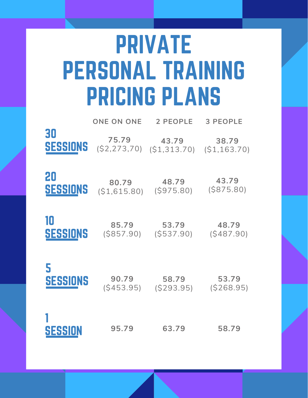# PRIVATE PERSONAL TRAINING PRICING PLANS

|                 | <b>ONE ON ONE</b> | 2 PEOPLE     | <b>3 PEOPLE</b> |
|-----------------|-------------------|--------------|-----------------|
| 30              | 75.79             | 43.79        | 38.79           |
| <b>SESSIONS</b> | (S2, 273, 70)     | (S1, 313.70) | (S1, 163.70)    |
| 20              | 80.79             | 48.79        | 43.79           |
| <b>SESSIONS</b> | (S1, 615.80)      | (S975.80)    | (S875.80)       |
| 10              | 85.79             | 53.79        | 48.79           |
| <b>SESSIONS</b> | (S857.90)         | (S537.90)    | (S487.90)       |
| 5               | 90.79             | 58.79        | 53.79           |
| <b>SESSIONS</b> | (S453.95)         | (S293.95)    | (S268.95)       |
| <b>SESSION</b>  | 95.79             | 63.79        | 58.79           |